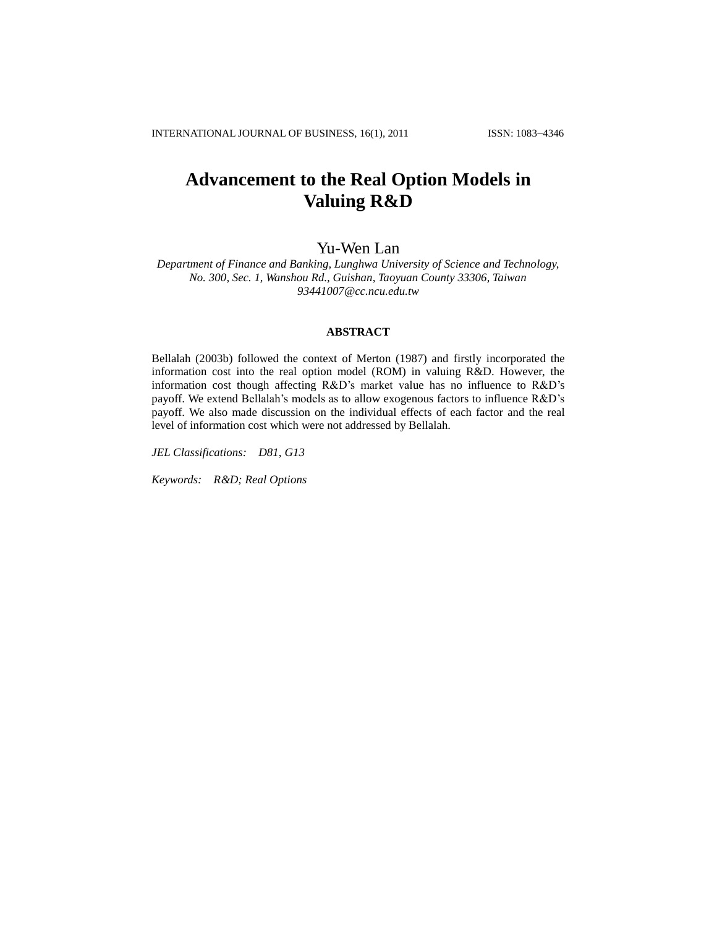# **Advancement to the Real Option Models in Valuing R&D**

# Yu-Wen Lan

*Department of Finance and Banking, Lunghwa University of Science and Technology, No. 300, Sec. 1, Wanshou Rd., Guishan, Taoyuan County 33306, Taiwan [93441007@cc.ncu.edu.tw](mailto:93441007@cc.ncu.edu.tw)*

# **ABSTRACT**

Bellalah (2003b) followed the context of Merton (1987) and firstly incorporated the information cost into the real option model (ROM) in valuing R&D. However, the information cost though affecting R&D"s market value has no influence to R&D"s payoff. We extend Bellalah"s models as to allow exogenous factors to influence R&D"s payoff. We also made discussion on the individual effects of each factor and the real level of information cost which were not addressed by Bellalah.

*JEL Classifications: D81, G13*

*Keywords: R&D; Real Options*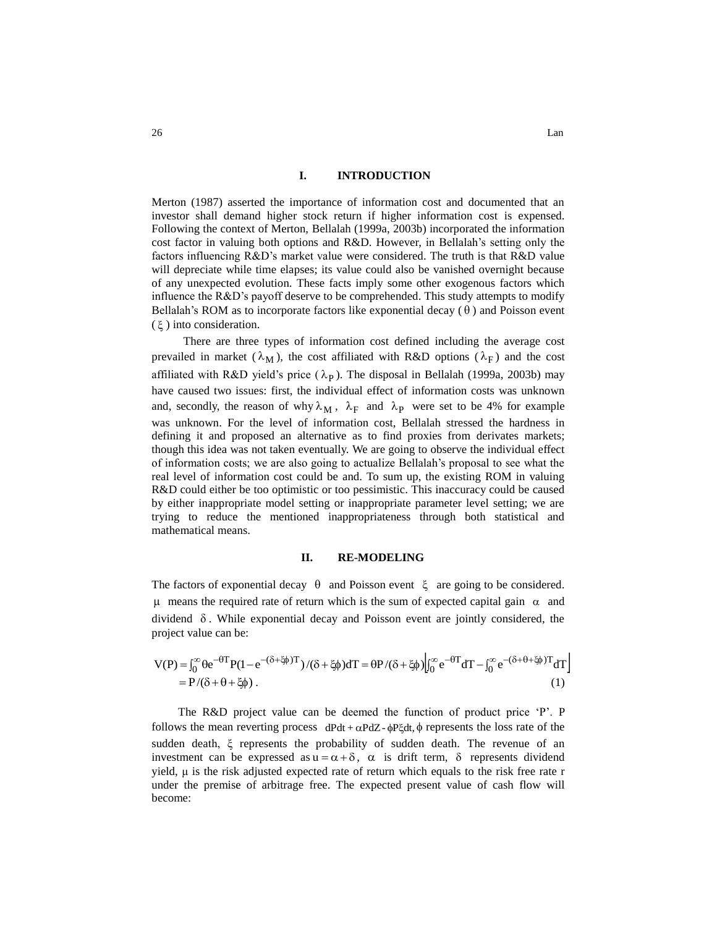# **I. INTRODUCTION**

Merton (1987) asserted the importance of information cost and documented that an investor shall demand higher stock return if higher information cost is expensed. Following the context of Merton, Bellalah (1999a, 2003b) incorporated the information cost factor in valuing both options and R&D. However, in Bellalah"s setting only the factors influencing R&D"s market value were considered. The truth is that R&D value will depreciate while time elapses; its value could also be vanished overnight because of any unexpected evolution. These facts imply some other exogenous factors which influence the R&D"s payoff deserve to be comprehended. This study attempts to modify Bellalah's ROM as to incorporate factors like exponential decay  $(\theta)$  and Poisson event  $(\xi)$  into consideration.

There are three types of information cost defined including the average cost prevailed in market  $(\lambda_M)$ , the cost affiliated with R&D options  $(\lambda_F)$  and the cost affiliated with R&D yield's price  $(\lambda_P)$ . The disposal in Bellalah (1999a, 2003b) may have caused two issues: first, the individual effect of information costs was unknown and, secondly, the reason of why  $\lambda_M$ ,  $\lambda_F$  and  $\lambda_P$  were set to be 4% for example was unknown. For the level of information cost, Bellalah stressed the hardness in defining it and proposed an alternative as to find proxies from derivates markets; though this idea was not taken eventually. We are going to observe the individual effect of information costs; we are also going to actualize Bellalah"s proposal to see what the real level of information cost could be and. To sum up, the existing ROM in valuing R&D could either be too optimistic or too pessimistic. This inaccuracy could be caused by either inappropriate model setting or inappropriate parameter level setting; we are trying to reduce the mentioned inappropriateness through both statistical and mathematical means.

#### **II. RE-MODELING**

The factors of exponential decay  $\theta$  and Poisson event  $\xi$  are going to be considered.  $\mu$  means the required rate of return which is the sum of expected capital gain  $\alpha$  and dividend  $\delta$ . While exponential decay and Poisson event are jointly considered, the project value can be:

$$
V(P) = \int_0^{\infty} \theta e^{-\theta T} P (1 - e^{-(\delta + \xi \phi)T}) / (\delta + \xi \phi) dT = \theta P / (\delta + \xi \phi) \Big|_0^{\infty} e^{-\theta T} dT - \int_0^{\infty} e^{-(\delta + \theta + \xi \phi)T} dT \Big|
$$
  
=  $P / (\delta + \theta + \xi \phi)$ . (1)

The R&D project value can be deemed the function of product price 'P'. P follows the mean reverting process  $dPdt + \alpha PdZ - \phi P \xi dt$ ,  $\phi$  represents the loss rate of the sudden death, ξ represents the probability of sudden death. The revenue of an investment can be expressed as  $u = \alpha + \delta$ ,  $\alpha$  is drift term,  $\delta$  represents dividend yield, μ is the risk adjusted expected rate of return which equals to the risk free rate r under the premise of arbitrage free. The expected present value of cash flow will become: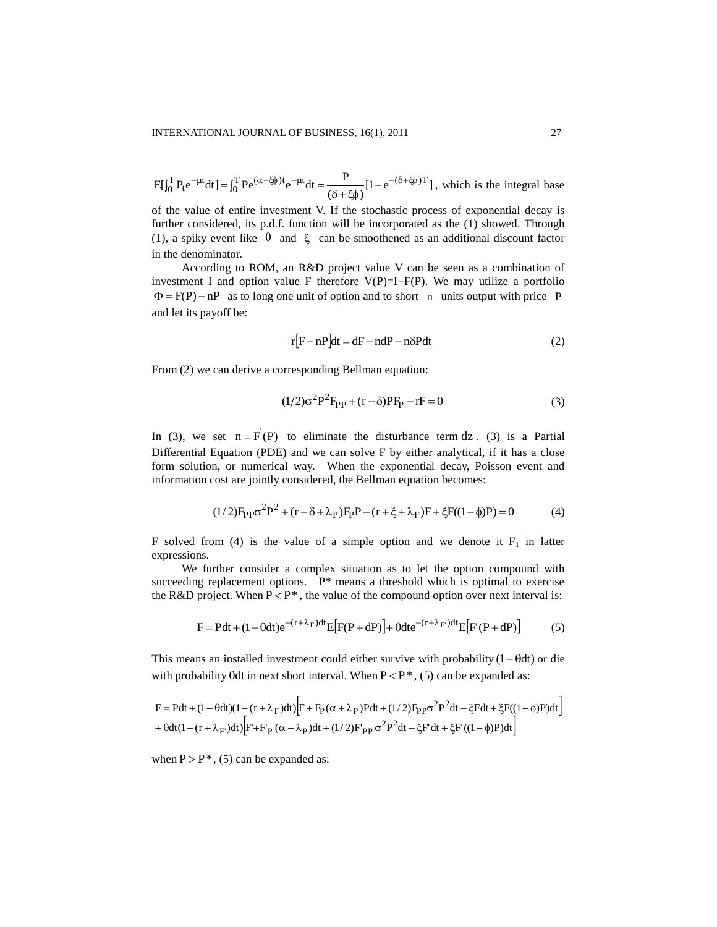$$
E[\int_0^T P_t e^{-\mu t} dt] = \int_0^T P e^{(\alpha - \xi \phi)t} e^{-\mu t} dt = \frac{P}{(\delta + \xi \phi)} [1 - e^{-(\delta + \xi \phi)T}],
$$
 which is the integral base

of the value of entire investment V. If the stochastic process of exponential decay is further considered, its p.d.f. function will be incorporated as the (1) showed. Through (1), a spiky event like  $\theta$  and  $\xi$  can be smoothened as an additional discount factor in the denominator.

According to ROM, an R&D project value V can be seen as a combination of investment I and option value F therefore  $V(P)=I+F(P)$ . We may utilize a portfolio  $\Phi = F(P) - nP$  as to long one unit of option and to short n units output with price P and let its payoff be:

$$
r[F - nP]dt = dF - ndP - n\delta Pdt
$$
 (2)

From (2) we can derive a corresponding Bellman equation:

$$
(1/2)\sigma^{2}P^{2}F_{PP} + (r - \delta)PF_{P} - rF = 0
$$
\n(3)

In (3), we set  $n = F(P)$  to eliminate the disturbance term dz. (3) is a Partial Differential Equation (PDE) and we can solve F by either analytical, if it has a close form solution, or numerical way. When the exponential decay, Poisson event and information cost are jointly considered, the Bellman equation becomes:

$$
(1/2)F_{PP}\sigma^{2}P^{2} + (r - \delta + \lambda_{P})F_{P}P - (r + \xi + \lambda_{F})F + \xi F((1 - \phi)P) = 0
$$
(4)

F solved from (4) is the value of a simple option and we denote it  $F_1$  in latter expressions.

We further consider a complex situation as to let the option compound with succeeding replacement options.  $P^*$  means a threshold which is optimal to exercise the R&D project. When  $P < P^*$ , the value of the compound option over next interval is:

$$
F = Pdt + (1 - \theta dt)e^{-(r + \lambda_F)dt}E[F(P + dP)] + \theta dt e^{-(r + \lambda_F)dt}E[F'(P + dP)]
$$
 (5)

This means an installed investment could either survive with probability  $(1 - \theta dt)$  or die with probability  $\theta$ dt in next short interval. When  $P < P^*$ , (5) can be expanded as:

$$
F = Pdt + (1 - \theta dt)(1 - (r + \lambda_F)dt) \Big[ F + F_P(\alpha + \lambda_P)Pdt + (1/2)F_{PP}\sigma^2 P^2 dt - \xi Fdt + \xi F((1 - \phi)P)dt \Big] + \theta dt (1 - (r + \lambda_F)dt) \Big[ F' + F_P(\alpha + \lambda_P)dt + (1/2)F_{PP}\sigma^2 P^2 dt - \xi F'dt + \xi F'((1 - \phi)P)dt \Big]
$$

when  $P > P^*$ , (5) can be expanded as: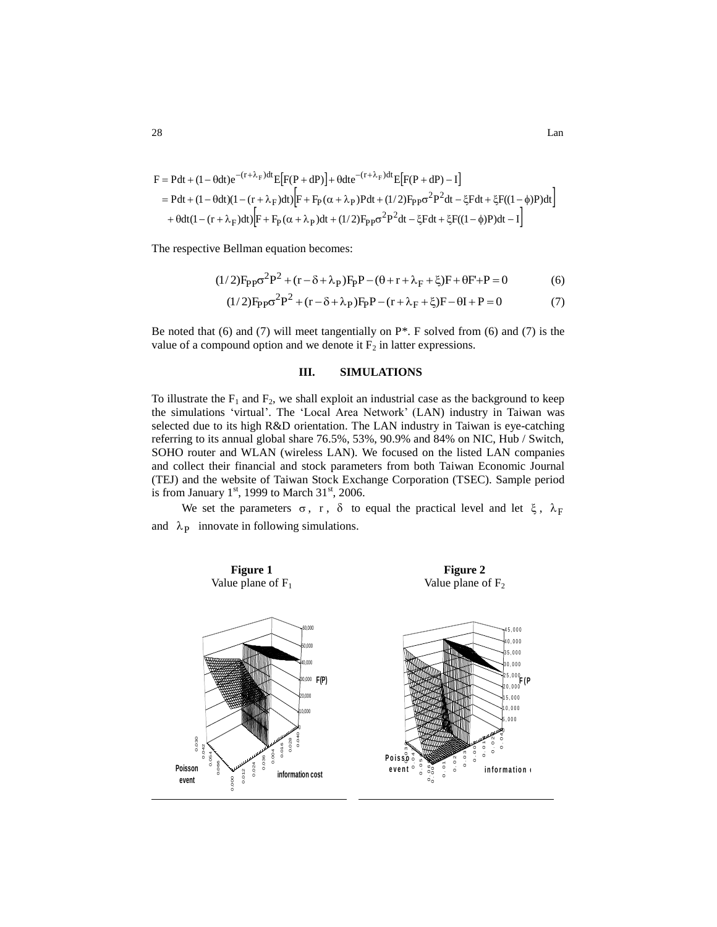$$
F = Pdt + (1 - \theta dt)e^{-(r + \lambda_F)dt}E[F(P + dP)] + \theta dt e^{-(r + \lambda_F)dt}E[F(P + dP) - I]
$$
  
= Pdt + (1 - \theta dt)(1 - (r + \lambda\_F)dt)[F + F\_P(\alpha + \lambda\_P)Pdt + (1/2)F\_{PP}\sigma^2P^2dt - \xi Fdt + \xi F((1 - \phi)P)dt]  
+ \theta dt(1 - (r + \lambda\_F)dt)[F + F\_P(\alpha + \lambda\_P)dt + (1/2)F\_{PP}\sigma^2P^2dt - \xi Fdt + \xi F((1 - \phi)P)dt - I]

The respective Bellman equation becomes:

$$
(1/2)F_{PP}\sigma^2P^2 + (r - \delta + \lambda_P)F_PP - (\theta + r + \lambda_F + \xi)F + \theta F' + P = 0
$$
 (6)

$$
(1/2)F_{PP}\sigma^{2}P^{2} + (r - \delta + \lambda_{P})F_{P}P - (r + \lambda_{F} + \xi)F - \theta I + P = 0
$$
 (7)

Be noted that (6) and (7) will meet tangentially on P\*. F solved from (6) and (7) is the value of a compound option and we denote it  $F_2$  in latter expressions.

#### **III. SIMULATIONS**

To illustrate the  $F_1$  and  $F_2$ , we shall exploit an industrial case as the background to keep the simulations "virtual". The "Local Area Network" (LAN) industry in Taiwan was selected due to its high R&D orientation. The LAN industry in Taiwan is eye-catching referring to its annual global share 76.5%, 53%, 90.9% and 84% on NIC, Hub / Switch, SOHO router and WLAN (wireless LAN). We focused on the listed LAN companies and collect their financial and stock parameters from both Taiwan Economic Journal (TEJ) and the website of Taiwan Stock Exchange Corporation (TSEC). Sample period is from January  $1<sup>st</sup>$ , 1999 to March  $31<sup>st</sup>$ , 2006.

We set the parameters  $\sigma$ , r,  $\delta$  to equal the practical level and let  $\xi$ ,  $\lambda_F$ and  $\lambda_{P}$  innovate in following simulations.

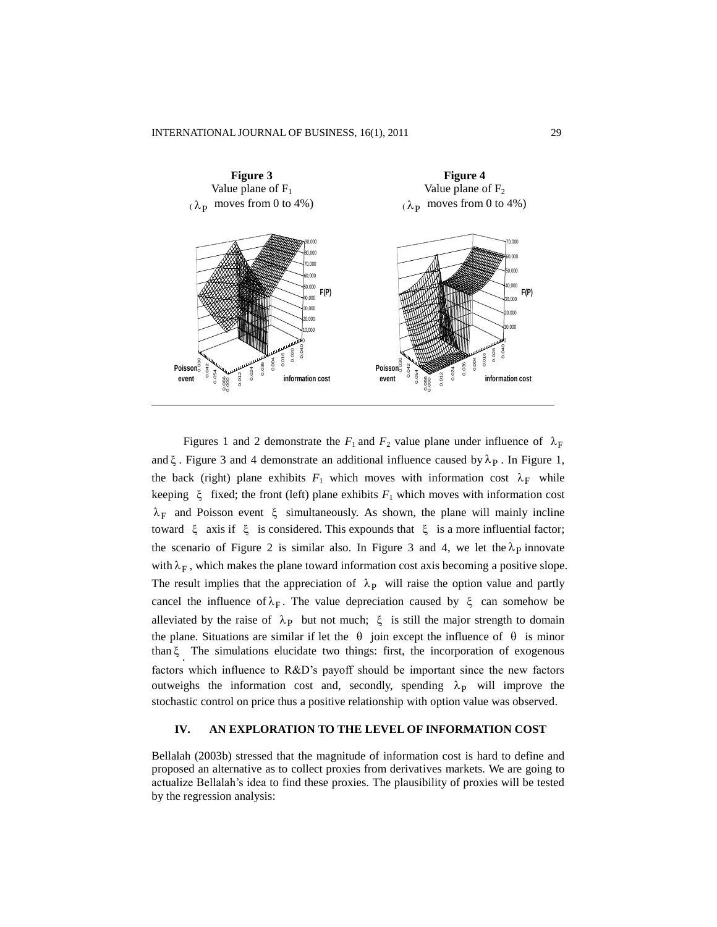

Figures 1 and 2 demonstrate the  $F_1$  and  $F_2$  value plane under influence of  $\lambda_F$ and  $\xi$ . Figure 3 and 4 demonstrate an additional influence caused by  $\lambda_P$ . In Figure 1, the back (right) plane exhibits  $F_1$  which moves with information cost  $\lambda_F$  while keeping  $\xi$  fixed; the front (left) plane exhibits  $F_1$  which moves with information cost  $\lambda_F$  and Poisson event  $\xi$  simultaneously. As shown, the plane will mainly incline toward  $\xi$  axis if  $\xi$  is considered. This expounds that  $\xi$  is a more influential factor; the scenario of Figure 2 is similar also. In Figure 3 and 4, we let the  $\lambda_p$  innovate with  $\lambda_F$ , which makes the plane toward information cost axis becoming a positive slope. The result implies that the appreciation of  $\lambda_{P}$  will raise the option value and partly cancel the influence of  $\lambda_F$ . The value depreciation caused by  $\xi$  can somehow be alleviated by the raise of  $\lambda_{P}$  but not much;  $\xi$  is still the major strength to domain the plane. Situations are similar if let the  $\theta$  join except the influence of  $\theta$  is minor than . The simulations elucidate two things: first, the incorporation of exogenous factors which influence to R&D"s payoff should be important since the new factors outweighs the information cost and, secondly, spending  $\lambda_{\text{P}}$  will improve the stochastic control on price thus a positive relationship with option value was observed.

# **IV. AN EXPLORATION TO THE LEVEL OF INFORMATION COST**

Bellalah (2003b) stressed that the magnitude of information cost is hard to define and proposed an alternative as to collect proxies from derivatives markets. We are going to actualize Bellalah"s idea to find these proxies. The plausibility of proxies will be tested by the regression analysis: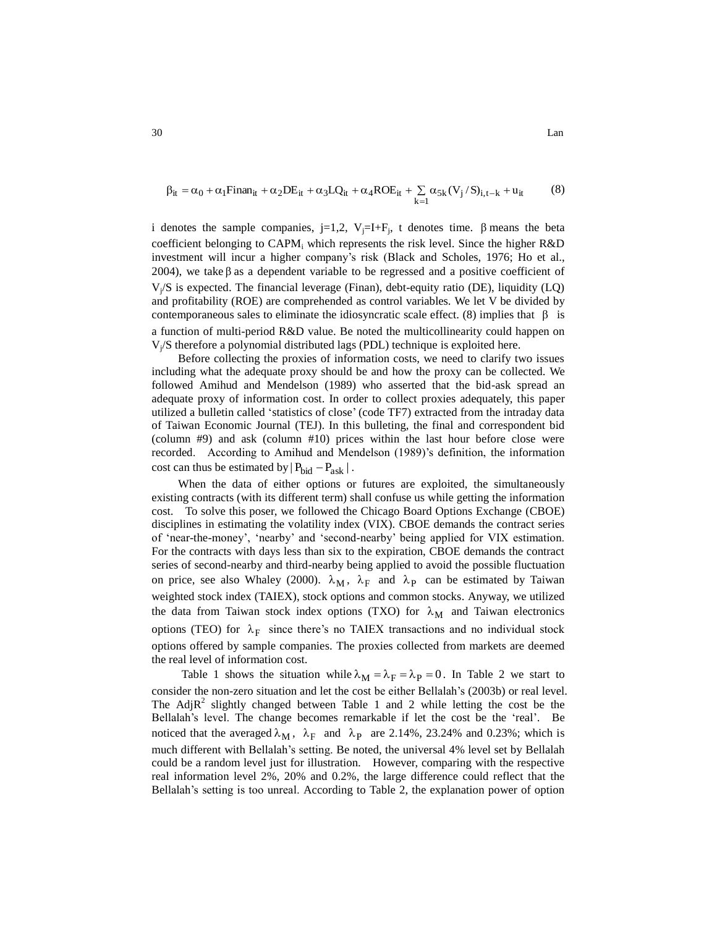$$
\beta_{it} = \alpha_0 + \alpha_1 \text{Finan}_{it} + \alpha_2 \text{DE}_{it} + \alpha_3 \text{LQ}_{it} + \alpha_4 \text{ROE}_{it} + \sum_{k=1} \alpha_{5k} (V_j / S)_{i, t-k} + u_{it}
$$
(8)

i denotes the sample companies, j=1,2,  $V_j=I+F_j$ , t denotes time.  $\beta$  means the beta coefficient belonging to  $CAPM<sub>i</sub>$  which represents the risk level. Since the higher  $R&D$ investment will incur a higher company's risk (Black and Scholes, 1976; Ho et al., 2004), we take  $\beta$  as a dependent variable to be regressed and a positive coefficient of  $V_j/S$  is expected. The financial leverage (Finan), debt-equity ratio (DE), liquidity (LQ) and profitability (ROE) are comprehended as control variables. We let V be divided by contemporaneous sales to eliminate the idiosyncratic scale effect. (8) implies that  $\beta$  is a function of multi-period R&D value. Be noted the multicollinearity could happen on  $V_i/S$  therefore a polynomial distributed lags (PDL) technique is exploited here.

Before collecting the proxies of information costs, we need to clarify two issues including what the adequate proxy should be and how the proxy can be collected. We followed Amihud and Mendelson (1989) who asserted that the bid-ask spread an adequate proxy of information cost. In order to collect proxies adequately, this paper utilized a bulletin called "statistics of close" (code TF7) extracted from the intraday data of Taiwan Economic Journal (TEJ). In this bulleting, the final and correspondent bid (column #9) and ask (column #10) prices within the last hour before close were recorded. According to Amihud and Mendelson (1989)"s definition, the information cost can thus be estimated by  $|P_{bid} - P_{ask}|$ .

When the data of either options or futures are exploited, the simultaneously existing contracts (with its different term) shall confuse us while getting the information cost. To solve this poser, we followed the Chicago Board Options Exchange (CBOE) disciplines in estimating the volatility index (VIX). CBOE demands the contract series of "near-the-money", "nearby" and "second-nearby" being applied for VIX estimation. For the contracts with days less than six to the expiration, CBOE demands the contract series of second-nearby and third-nearby being applied to avoid the possible fluctuation on price, see also Whaley (2000).  $\lambda_M$ ,  $\lambda_F$  and  $\lambda_P$  can be estimated by Taiwan weighted stock index (TAIEX), stock options and common stocks. Anyway, we utilized the data from Taiwan stock index options (TXO) for  $\lambda_M$  and Taiwan electronics options (TEO) for  $\lambda_F$  since there's no TAIEX transactions and no individual stock options offered by sample companies. The proxies collected from markets are deemed the real level of information cost.

Table 1 shows the situation while  $\lambda_M = \lambda_F = \lambda_P = 0$ . In Table 2 we start to consider the non-zero situation and let the cost be either Bellalah"s (2003b) or real level. The Adj $R^2$  slightly changed between Table 1 and 2 while letting the cost be the Bellalah"s level. The change becomes remarkable if let the cost be the "real". Be noticed that the averaged  $\lambda_M$ ,  $\lambda_F$  and  $\lambda_P$  are 2.14%, 23.24% and 0.23%; which is much different with Bellalah"s setting. Be noted, the universal 4% level set by Bellalah could be a random level just for illustration. However, comparing with the respective real information level 2%, 20% and 0.2%, the large difference could reflect that the Bellalah"s setting is too unreal. According to Table 2, the explanation power of option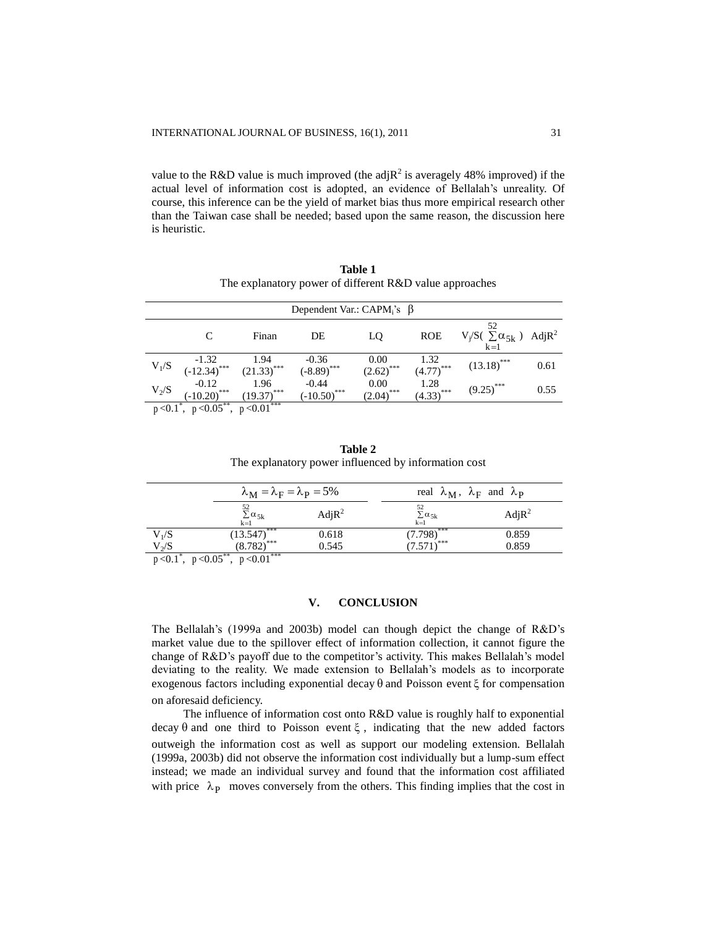value to the R&D value is much improved (the adj $R^2$  is averagely 48% improved) if the actual level of information cost is adopted, an evidence of Bellalah"s unreality. Of course, this inference can be the yield of market bias thus more empirical research other than the Taiwan case shall be needed; based upon the same reason, the discussion here is heuristic.

| <b>Table 1</b>                                          |
|---------------------------------------------------------|
| The explanatory power of different R&D value approaches |

| Dependent Var.: CAPM <sub>i</sub> 's $\beta$ |                              |                              |                           |                                 |                                 |                                                      |      |  |  |
|----------------------------------------------|------------------------------|------------------------------|---------------------------|---------------------------------|---------------------------------|------------------------------------------------------|------|--|--|
|                                              |                              | Finan                        | DE                        | LQ                              | <b>ROE</b>                      | 52<br>$V_j/S( \sum \alpha_{5k} )$ Adj $R^2$<br>$k=1$ |      |  |  |
| $V_1/S$                                      | $-1.32$<br>$(-12.34)^{***}$  | $\frac{1.94}{(21.33)^{***}}$ | $-0.36$<br>$(-8.89)$ ***  | 0.00<br>$(2.62)$ <sup>***</sup> | $\frac{1.32}{(4.77)}$ ***       | $(13.18)$ ***                                        | 0.61 |  |  |
| $V_2/S$                                      | $-0.12$<br>***<br>$(-10.20)$ | 1.96<br>***<br>(19.37)       | $-0.44$<br>$(-10.50)$ *** | 0.00<br>$(2.04)$ <sup>***</sup> | 1.28<br>$(4.33)$ <sup>***</sup> | ***<br>(9.25)                                        | 0.55 |  |  |
| p < 0.1                                      | $p < 0.05$ ,                 | $p < 0.01$ ***               |                           |                                 |                                 |                                                      |      |  |  |

| <b>Table 2</b> |                                                      |  |  |  |  |  |  |
|----------------|------------------------------------------------------|--|--|--|--|--|--|
|                | The explanatory power influenced by information cost |  |  |  |  |  |  |

|         | $\lambda_{\rm M} = \lambda_{\rm F} = \lambda_{\rm P} = 5\%$ |                   |                               | real $\lambda_M$ , $\lambda_F$ and $\lambda_P$ |  |  |
|---------|-------------------------------------------------------------|-------------------|-------------------------------|------------------------------------------------|--|--|
|         | 52<br>$\sum_{k=1} \alpha_{5k}$                              | AdjR <sup>2</sup> | $\Sigma \alpha_{5k}$<br>$k=1$ | AdjR <sup>2</sup>                              |  |  |
| $V_1/S$ | $\overline{(13.547)}^{***}$<br>$\overline{(8.782)}^{***}$   | 0.618             | $(7.798)$ ***                 | 0.859                                          |  |  |
| $V_2/S$ | . ***<br>----**                                             | 0.545             | $571$ <sup>***</sup>          | 0.859                                          |  |  |

 $p < 0.1^*$ ,  $p < 0.05^{**}$ ,  $p < 0.01^{***}$ 

#### **V. CONCLUSION**

The Bellalah"s (1999a and 2003b) model can though depict the change of R&D"s market value due to the spillover effect of information collection, it cannot figure the change of R&D's payoff due to the competitor's activity. This makes Bellalah's model deviating to the reality. We made extension to Bellalah"s models as to incorporate exogenous factors including exponential decay  $\theta$  and Poisson event  $\xi$  for compensation on aforesaid deficiency.

The influence of information cost onto R&D value is roughly half to exponential decay  $\theta$  and one third to Poisson event  $\xi$ , indicating that the new added factors outweigh the information cost as well as support our modeling extension. Bellalah (1999a, 2003b) did not observe the information cost individually but a lump-sum effect instead; we made an individual survey and found that the information cost affiliated with price  $\lambda_{\rm P}$  moves conversely from the others. This finding implies that the cost in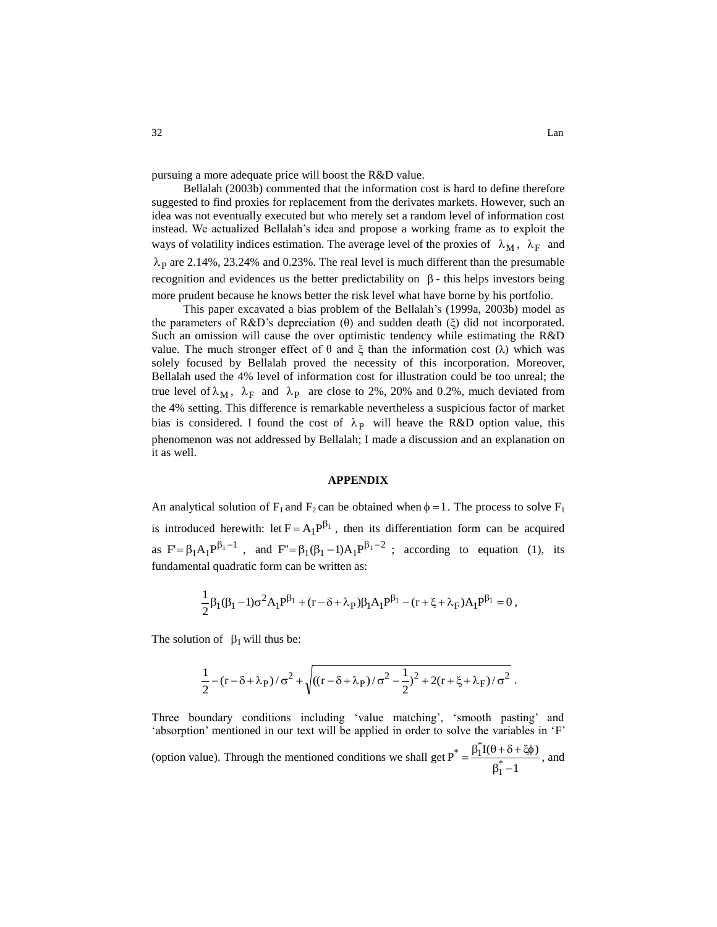pursuing a more adequate price will boost the R&D value.

Bellalah (2003b) commented that the information cost is hard to define therefore suggested to find proxies for replacement from the derivates markets. However, such an idea was not eventually executed but who merely set a random level of information cost instead. We actualized Bellalah"s idea and propose a working frame as to exploit the ways of volatility indices estimation. The average level of the proxies of  $\lambda_M$ ,  $\lambda_F$  and  $\lambda_{P}$  are 2.14%, 23.24% and 0.23%. The real level is much different than the presumable recognition and evidences us the better predictability on  $\beta$  - this helps investors being more prudent because he knows better the risk level what have borne by his portfolio.

This paper excavated a bias problem of the Bellalah"s (1999a, 2003b) model as the parameters of R&D's depreciation  $(\theta)$  and sudden death  $(\xi)$  did not incorporated. Such an omission will cause the over optimistic tendency while estimating the R&D value. The much stronger effect of θ and ξ than the information cost (λ) which was solely focused by Bellalah proved the necessity of this incorporation. Moreover, Bellalah used the 4% level of information cost for illustration could be too unreal; the true level of  $\lambda_M$ ,  $\lambda_F$  and  $\lambda_P$  are close to 2%, 20% and 0.2%, much deviated from the 4% setting. This difference is remarkable nevertheless a suspicious factor of market bias is considered. I found the cost of  $\lambda_{P}$  will heave the R&D option value, this phenomenon was not addressed by Bellalah; I made a discussion and an explanation on it as well.

#### **APPENDIX**

An analytical solution of  $F_1$  and  $F_2$  can be obtained when  $\phi = 1$ . The process to solve  $F_1$ is introduced herewith: let  $F = A_1 P^{\beta_1}$ , then its differentiation form can be acquired as  $F' = \beta_1 A_1 P^{\beta_1 - 1}$ , and  $F'' = \beta_1 (\beta_1 - 1) A_1 P^{\beta_1 - 2}$ ; according to equation (1), its fundamental quadratic form can be written as:

$$
\frac{1}{2}\beta_1(\beta_1-1)\sigma^2A_1P^{\beta_1} + (r-\delta+\lambda_P)\beta_1A_1P^{\beta_1} - (r+\xi+\lambda_F)A_1P^{\beta_1} = 0,
$$

The solution of  $\beta_1$  will thus be:

$$
\frac{1}{2} - (r - \delta + \lambda_P) / \sigma^2 + \sqrt{((r - \delta + \lambda_P) / \sigma^2 - \frac{1}{2})^2 + 2(r + \xi + \lambda_F) / \sigma^2}.
$$

Three boundary conditions including 'value matching', 'smooth pasting' and "absorption" mentioned in our text will be applied in order to solve the variables in "F" (option value). Through the mentioned conditions we shall get 1  $P^* = \frac{\beta_1^* I(\theta + \delta + \xi \phi)}{\beta_1^* - 1}$ \*  $_-\underline{\beta_1^*}$  $\beta_1^*$  –  $=\frac{\beta_1 \mathbf{I}(\theta + \delta + \xi \phi)}{4}$ , and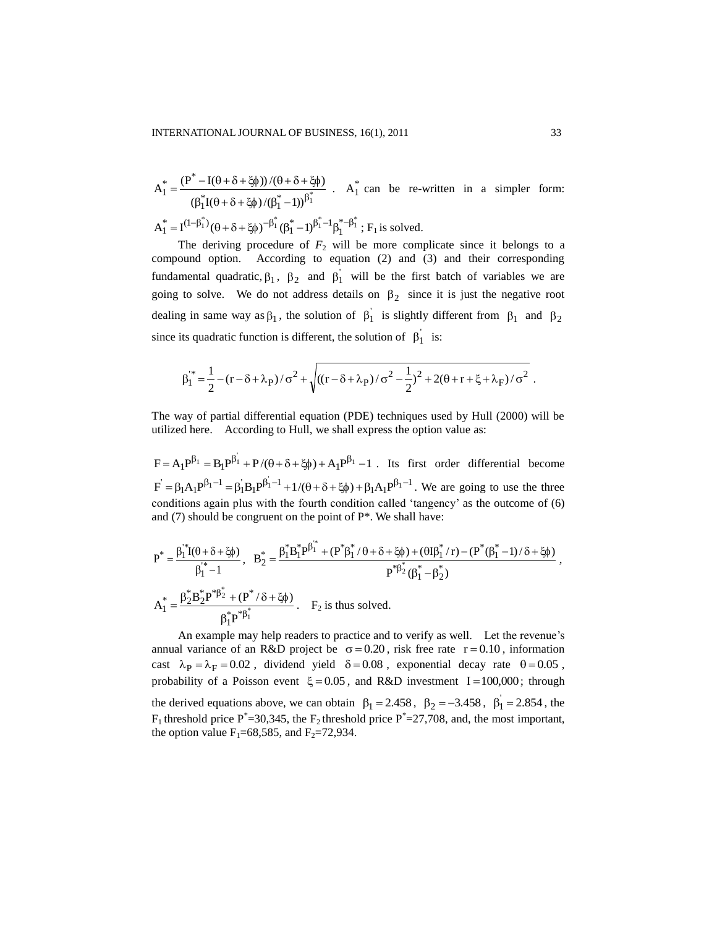$$
A_1^* = \frac{(P^* - I(\theta + \delta + \xi \phi)) / (\theta + \delta + \xi \phi)}{(\beta_1^* I(\theta + \delta + \xi \phi) / (\beta_1^* - 1))^{\beta_1^*}} \quad . \quad A_1^* \text{ can be re-written in a simpler form:}
$$

 $(\theta + \delta + \delta)^{-\beta_1} (\theta^* - 1)^{\beta_1^* - 1} \beta_1^*$  $A_1^* = I^{(1-\beta_1^*)} (\theta + \delta + \xi \phi)^{-\beta_1^*} (\beta_1^* - 1)^{\beta_1^* - 1} \beta_1^{*-\beta_1^*}$ ; F<sub>1</sub> is solved.

The deriving procedure of  $F_2$  will be more complicate since it belongs to a compound option. According to equation (2) and (3) and their corresponding fundamental quadratic,  $\beta_1$ ,  $\beta_2$  and  $\beta_1$  will be the first batch of variables we are going to solve. We do not address details on  $\beta_2$  since it is just the negative root dealing in same way as  $\beta_1$ , the solution of  $\beta_1$  is slightly different from  $\beta_1$  and  $\beta_2$ since its quadratic function is different, the solution of  $\beta_1$  is:

$$
\beta_1^{"*} = \frac{1}{2} - (r - \delta + \lambda_P) / \sigma^2 + \sqrt{((r - \delta + \lambda_P) / \sigma^2 - \frac{1}{2})^2 + 2(\theta + r + \xi + \lambda_F) / \sigma^2}.
$$

The way of partial differential equation (PDE) techniques used by Hull (2000) will be utilized here. According to Hull, we shall express the option value as:

 $F = A_1 P^{\beta_1} = B_1 P^{\beta_1} + P/(\theta + \delta + \xi \phi) + A_1 P^{\beta_1} - 1$ . Its first order differential become  $F = \beta_1 A_1 P^{\beta_1 - 1} = \beta_1 B_1 P^{\beta_1 - 1} + 1/(\theta + \delta + \xi \phi) + \beta_1 A_1 P^{\beta_1 - 1}$ . We are going to use the three conditions again plus with the fourth condition called 'tangency' as the outcome of (6) and  $(7)$  should be congruent on the point of  $P^*$ . We shall have:

$$
P^* = \frac{\beta_1^* \mathbf{i} (\theta + \delta + \xi \phi)}{\beta_1^* - 1}, \quad B_2^* = \frac{\beta_1^* B_1^* P^{\beta_1^*} + (P^* \beta_1^* / \theta + \delta + \xi \phi) + (\theta I \beta_1^* / r) - (P^* (\beta_1^* - 1) / \delta + \xi \phi)}{P^* \beta_2^* (\beta_1^* - \beta_2^*)}
$$

$$
A_1^* = \frac{\beta_2^* B_2^* P^* \beta_2^* + (P^* / \delta + \xi \phi)}{\beta_1^* P^* \beta_1^*}.
$$
  $F_2$  is thus solved.

An example may help readers to practice and to verify as well. Let the revenue's annual variance of an R&D project be  $\sigma = 0.20$ , risk free rate  $r = 0.10$ , information cast  $\lambda_P = \lambda_F = 0.02$ , dividend yield  $\delta = 0.08$ , exponential decay rate  $\theta = 0.05$ , probability of a Poisson event  $\xi = 0.05$ , and R&D investment I=100,000; through the derived equations above, we can obtain  $\beta_1 = 2.458$ ,  $\beta_2 = -3.458$ ,  $\beta_1 = 2.854$ , the  $F_1$  threshold price  $P^*=30,345$ , the  $F_2$  threshold price  $P^*=27,708$ , and, the most important, the option value  $F_1$ =68,585, and  $F_2$ =72,934.

,